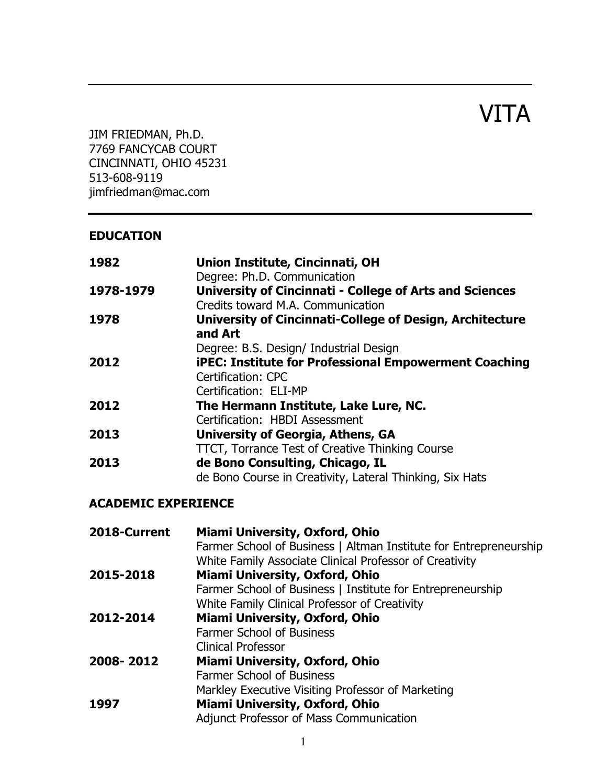# VITA

JIM FRIEDMAN, Ph.D. 7769 FANCYCAB COURT CINCINNATI, OHIO 45231 513-608-9119 jimfriedman@mac.com

#### **EDUCATION**

| 1982      | Union Institute, Cincinnati, OH<br>Degree: Ph.D. Communication |
|-----------|----------------------------------------------------------------|
| 1978-1979 | <b>University of Cincinnati - College of Arts and Sciences</b> |
|           | Credits toward M.A. Communication                              |
| 1978      | University of Cincinnati-College of Design, Architecture       |
|           | and Art                                                        |
|           | Degree: B.S. Design/ Industrial Design                         |
| 2012      | <b>iPEC: Institute for Professional Empowerment Coaching</b>   |
|           | <b>Certification: CPC</b>                                      |
|           | Certification: ELI-MP                                          |
| 2012      | The Hermann Institute, Lake Lure, NC.                          |
|           | Certification: HBDI Assessment                                 |
| 2013      | University of Georgia, Athens, GA                              |
|           | <b>TTCT, Torrance Test of Creative Thinking Course</b>         |
| 2013      | de Bono Consulting, Chicago, IL                                |
|           | de Bono Course in Creativity, Lateral Thinking, Six Hats       |

## **ACADEMIC EXPERIENCE**

| 2018-Current | <b>Miami University, Oxford, Ohio</b><br>Farmer School of Business   Altman Institute for Entrepreneurship<br>White Family Associate Clinical Professor of Creativity |
|--------------|-----------------------------------------------------------------------------------------------------------------------------------------------------------------------|
| 2015-2018    | Miami University, Oxford, Ohio                                                                                                                                        |
|              | Farmer School of Business   Institute for Entrepreneurship                                                                                                            |
|              | White Family Clinical Professor of Creativity                                                                                                                         |
| 2012-2014    | Miami University, Oxford, Ohio                                                                                                                                        |
|              | <b>Farmer School of Business</b>                                                                                                                                      |
|              | <b>Clinical Professor</b>                                                                                                                                             |
| 2008-2012    | Miami University, Oxford, Ohio                                                                                                                                        |
|              | <b>Farmer School of Business</b>                                                                                                                                      |
|              | Markley Executive Visiting Professor of Marketing                                                                                                                     |
| 1997         | Miami University, Oxford, Ohio                                                                                                                                        |
|              | Adjunct Professor of Mass Communication                                                                                                                               |
|              |                                                                                                                                                                       |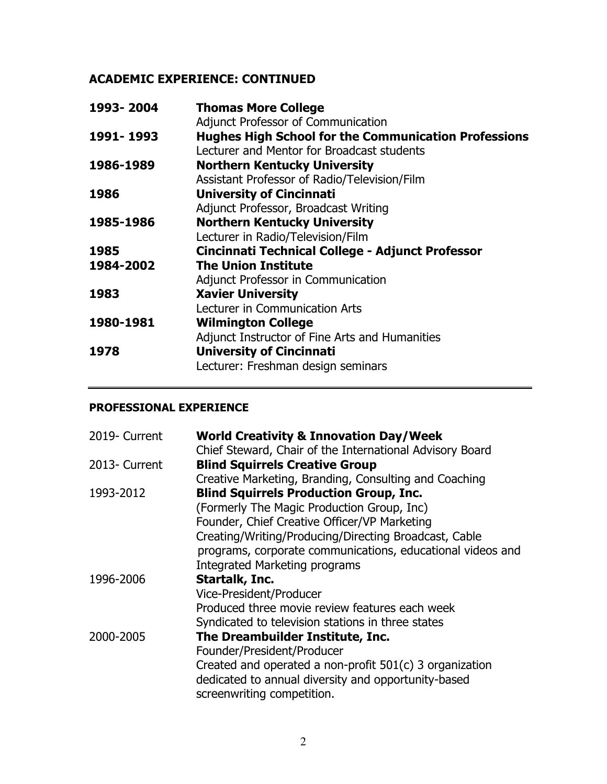## **ACADEMIC EXPERIENCE: CONTINUED**

| 1993-2004 | <b>Thomas More College</b>                                  |
|-----------|-------------------------------------------------------------|
|           | Adjunct Professor of Communication                          |
| 1991-1993 | <b>Hughes High School for the Communication Professions</b> |
|           | Lecturer and Mentor for Broadcast students                  |
| 1986-1989 | <b>Northern Kentucky University</b>                         |
|           | Assistant Professor of Radio/Television/Film                |
| 1986      | <b>University of Cincinnati</b>                             |
|           | Adjunct Professor, Broadcast Writing                        |
| 1985-1986 | <b>Northern Kentucky University</b>                         |
|           | Lecturer in Radio/Television/Film                           |
| 1985      | Cincinnati Technical College - Adjunct Professor            |
| 1984-2002 | <b>The Union Institute</b>                                  |
|           | Adjunct Professor in Communication                          |
| 1983      | <b>Xavier University</b>                                    |
|           | Lecturer in Communication Arts                              |
| 1980-1981 | <b>Wilmington College</b>                                   |
|           | Adjunct Instructor of Fine Arts and Humanities              |
| 1978      | <b>University of Cincinnati</b>                             |
|           | Lecturer: Freshman design seminars                          |
|           |                                                             |

#### **PROFESSIONAL EXPERIENCE**

| <b>World Creativity &amp; Innovation Day/Week</b>                                                                                            |
|----------------------------------------------------------------------------------------------------------------------------------------------|
| Chief Steward, Chair of the International Advisory Board                                                                                     |
| <b>Blind Squirrels Creative Group</b>                                                                                                        |
| Creative Marketing, Branding, Consulting and Coaching                                                                                        |
| <b>Blind Squirrels Production Group, Inc.</b>                                                                                                |
| (Formerly The Magic Production Group, Inc)                                                                                                   |
| Founder, Chief Creative Officer/VP Marketing                                                                                                 |
| Creating/Writing/Producing/Directing Broadcast, Cable                                                                                        |
| programs, corporate communications, educational videos and                                                                                   |
| <b>Integrated Marketing programs</b>                                                                                                         |
| Startalk, Inc.                                                                                                                               |
| Vice-President/Producer                                                                                                                      |
| Produced three movie review features each week                                                                                               |
| Syndicated to television stations in three states                                                                                            |
| The Dreambuilder Institute, Inc.                                                                                                             |
| Founder/President/Producer                                                                                                                   |
| Created and operated a non-profit 501(c) 3 organization<br>dedicated to annual diversity and opportunity-based<br>screenwriting competition. |
|                                                                                                                                              |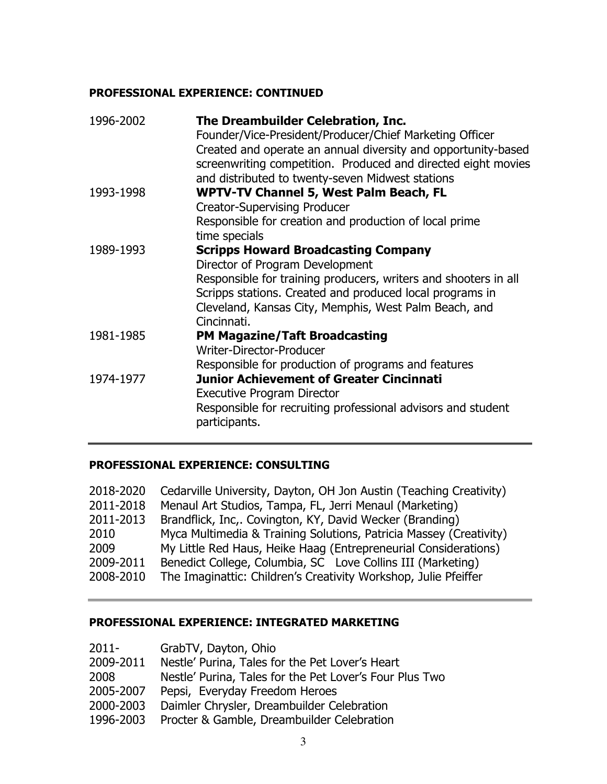#### **PROFESSIONAL EXPERIENCE: CONTINUED**

| 1996-2002 | The Dreambuilder Celebration, Inc.<br>Founder/Vice-President/Producer/Chief Marketing Officer<br>Created and operate an annual diversity and opportunity-based<br>screenwriting competition. Produced and directed eight movies |
|-----------|---------------------------------------------------------------------------------------------------------------------------------------------------------------------------------------------------------------------------------|
| 1993-1998 | and distributed to twenty-seven Midwest stations<br><b>WPTV-TV Channel 5, West Palm Beach, FL</b>                                                                                                                               |
|           | <b>Creator-Supervising Producer</b>                                                                                                                                                                                             |
|           | Responsible for creation and production of local prime                                                                                                                                                                          |
|           | time specials                                                                                                                                                                                                                   |
| 1989-1993 | <b>Scripps Howard Broadcasting Company</b>                                                                                                                                                                                      |
|           | Director of Program Development                                                                                                                                                                                                 |
|           | Responsible for training producers, writers and shooters in all                                                                                                                                                                 |
|           | Scripps stations. Created and produced local programs in                                                                                                                                                                        |
|           | Cleveland, Kansas City, Memphis, West Palm Beach, and                                                                                                                                                                           |
|           | Cincinnati.                                                                                                                                                                                                                     |
| 1981-1985 | <b>PM Magazine/Taft Broadcasting</b>                                                                                                                                                                                            |
|           | Writer-Director-Producer                                                                                                                                                                                                        |
|           | Responsible for production of programs and features                                                                                                                                                                             |
| 1974-1977 | <b>Junior Achievement of Greater Cincinnati</b>                                                                                                                                                                                 |
|           | <b>Executive Program Director</b>                                                                                                                                                                                               |
|           | Responsible for recruiting professional advisors and student<br>participants.                                                                                                                                                   |
|           |                                                                                                                                                                                                                                 |

#### **PROFESSIONAL EXPERIENCE: CONSULTING**

| 2018-2020 | Cedarville University, Dayton, OH Jon Austin (Teaching Creativity) |
|-----------|--------------------------------------------------------------------|
| 2011-2018 | Menaul Art Studios, Tampa, FL, Jerri Menaul (Marketing)            |
| 2011-2013 | Brandflick, Inc,. Covington, KY, David Wecker (Branding)           |
| 2010      | Myca Multimedia & Training Solutions, Patricia Massey (Creativity) |
| 2009      | My Little Red Haus, Heike Haag (Entrepreneurial Considerations)    |
| 2009-2011 | Benedict College, Columbia, SC Love Collins III (Marketing)        |
| 2008-2010 | The Imaginattic: Children's Creativity Workshop, Julie Pfeiffer    |

#### **PROFESSIONAL EXPERIENCE: INTEGRATED MARKETING**

| 2011-<br>GrabTV, Dayton, Ohio |  |
|-------------------------------|--|
|-------------------------------|--|

- 2009-2011 Nestle' Purina, Tales for the Pet Lover's Heart
- 2008 Nestle' Purina, Tales for the Pet Lover's Four Plus Two
- 2005-2007 Pepsi, Everyday Freedom Heroes
- 2000-2003 Daimler Chrysler, Dreambuilder Celebration
- 1996-2003 Procter & Gamble, Dreambuilder Celebration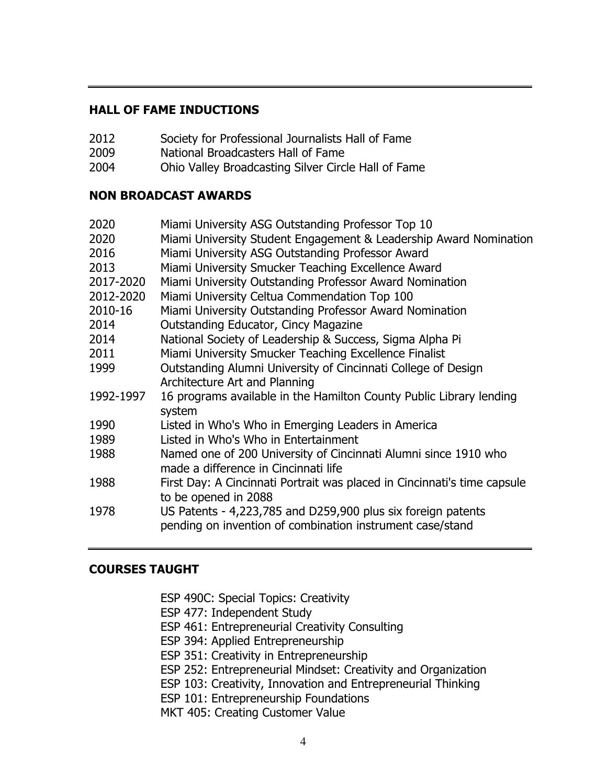#### **HALL OF FAME INDUCTIONS**

- 2012 Society for Professional Journalists Hall of Fame
- 2009 National Broadcasters Hall of Fame
- 2004 Ohio Valley Broadcasting Silver Circle Hall of Fame

#### **NON BROADCAST AWARDS**

| 2020      | Miami University ASG Outstanding Professor Top 10                        |
|-----------|--------------------------------------------------------------------------|
| 2020      | Miami University Student Engagement & Leadership Award Nomination        |
| 2016      | Miami University ASG Outstanding Professor Award                         |
| 2013      | Miami University Smucker Teaching Excellence Award                       |
| 2017-2020 | Miami University Outstanding Professor Award Nomination                  |
| 2012-2020 | Miami University Celtua Commendation Top 100                             |
| 2010-16   | Miami University Outstanding Professor Award Nomination                  |
| 2014      | <b>Outstanding Educator, Cincy Magazine</b>                              |
| 2014      | National Society of Leadership & Success, Sigma Alpha Pi                 |
| 2011      | Miami University Smucker Teaching Excellence Finalist                    |
| 1999      | Outstanding Alumni University of Cincinnati College of Design            |
|           | Architecture Art and Planning                                            |
| 1992-1997 | 16 programs available in the Hamilton County Public Library lending      |
|           | system                                                                   |
| 1990      | Listed in Who's Who in Emerging Leaders in America                       |
| 1989      | Listed in Who's Who in Entertainment                                     |
| 1988      | Named one of 200 University of Cincinnati Alumni since 1910 who          |
|           | made a difference in Cincinnati life                                     |
| 1988      | First Day: A Cincinnati Portrait was placed in Cincinnati's time capsule |
|           | to be opened in 2088                                                     |
| 1978      | US Patents - 4,223,785 and D259,900 plus six foreign patents             |
|           | pending on invention of combination instrument case/stand                |

#### **COURSES TAUGHT**

- ESP 490C: Special Topics: Creativity
- ESP 477: Independent Study
- ESP 461: Entrepreneurial Creativity Consulting
- ESP 394: Applied Entrepreneurship
- ESP 351: Creativity in Entrepreneurship
- ESP 252: Entrepreneurial Mindset: Creativity and Organization
- ESP 103: Creativity, Innovation and Entrepreneurial Thinking
- ESP 101: Entrepreneurship Foundations
- MKT 405: Creating Customer Value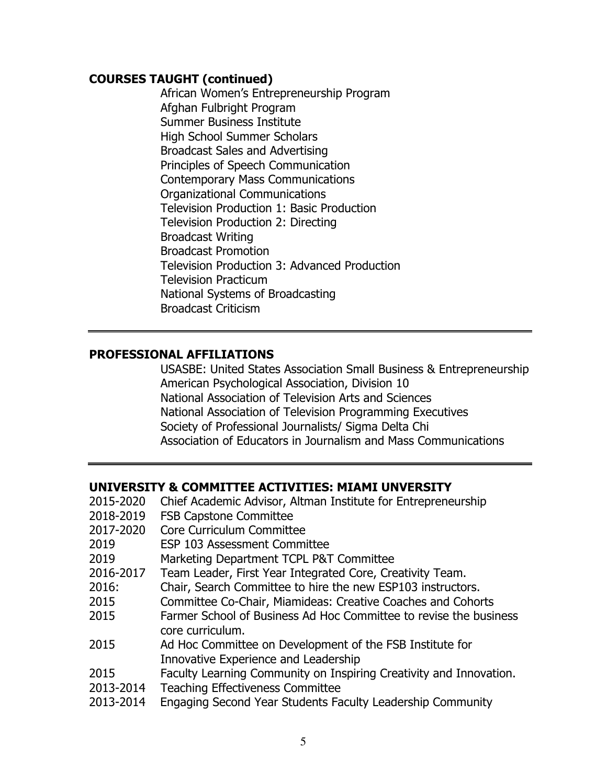#### **COURSES TAUGHT (continued)**

African Women's Entrepreneurship Program Afghan Fulbright Program Summer Business Institute High School Summer Scholars Broadcast Sales and Advertising Principles of Speech Communication Contemporary Mass Communications Organizational Communications Television Production 1: Basic Production Television Production 2: Directing Broadcast Writing Broadcast Promotion Television Production 3: Advanced Production Television Practicum National Systems of Broadcasting Broadcast Criticism

#### **PROFESSIONAL AFFILIATIONS**

USASBE: United States Association Small Business & Entrepreneurship American Psychological Association, Division 10 National Association of Television Arts and Sciences National Association of Television Programming Executives Society of Professional Journalists/ Sigma Delta Chi Association of Educators in Journalism and Mass Communications

#### **UNIVERSITY & COMMITTEE ACTIVITIES: MIAMI UNVERSITY**

| 2015-2020 | Chief Academic Advisor, Altman Institute for Entrepreneurship                         |
|-----------|---------------------------------------------------------------------------------------|
| 2018-2019 | <b>FSB Capstone Committee</b>                                                         |
| 2017-2020 | Core Curriculum Committee                                                             |
| 2019      | <b>ESP 103 Assessment Committee</b>                                                   |
| 2019      | Marketing Department TCPL P&T Committee                                               |
| 2016-2017 | Team Leader, First Year Integrated Core, Creativity Team.                             |
| 2016:     | Chair, Search Committee to hire the new ESP103 instructors.                           |
| 2015      | Committee Co-Chair, Miamideas: Creative Coaches and Cohorts                           |
| 2015      | Farmer School of Business Ad Hoc Committee to revise the business<br>core curriculum. |
| 2015      | Ad Hoc Committee on Development of the FSB Institute for                              |
|           | Innovative Experience and Leadership                                                  |
| 2015      | Faculty Learning Community on Inspiring Creativity and Innovation.                    |
| 2013-2014 | <b>Teaching Effectiveness Committee</b>                                               |
|           |                                                                                       |

2013-2014 Engaging Second Year Students Faculty Leadership Community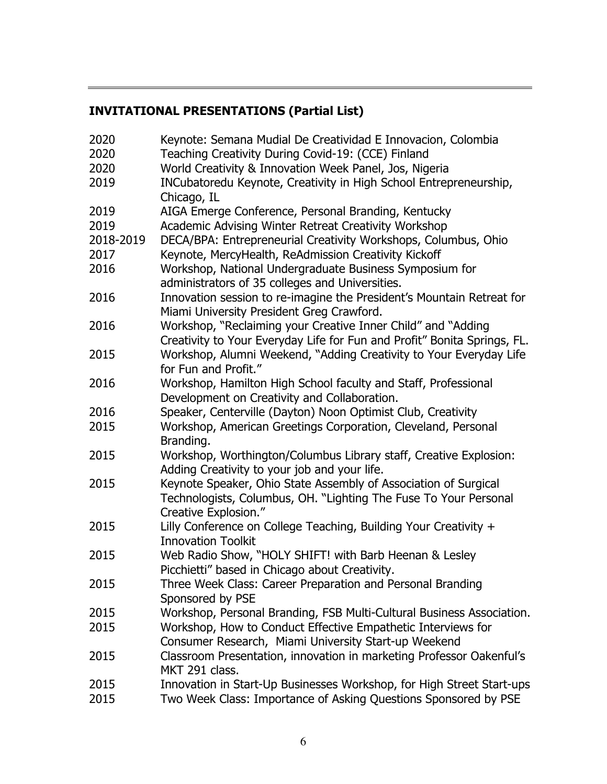## **INVITATIONAL PRESENTATIONS (Partial List)**

| 2020      | Keynote: Semana Mudial De Creatividad E Innovacion, Colombia                                                                                                |
|-----------|-------------------------------------------------------------------------------------------------------------------------------------------------------------|
| 2020      | Teaching Creativity During Covid-19: (CCE) Finland                                                                                                          |
| 2020      | World Creativity & Innovation Week Panel, Jos, Nigeria                                                                                                      |
| 2019      | INCubatoredu Keynote, Creativity in High School Entrepreneurship,<br>Chicago, IL                                                                            |
| 2019      | AIGA Emerge Conference, Personal Branding, Kentucky                                                                                                         |
| 2019      | Academic Advising Winter Retreat Creativity Workshop                                                                                                        |
| 2018-2019 | DECA/BPA: Entrepreneurial Creativity Workshops, Columbus, Ohio                                                                                              |
| 2017      | Keynote, MercyHealth, ReAdmission Creativity Kickoff                                                                                                        |
| 2016      | Workshop, National Undergraduate Business Symposium for<br>administrators of 35 colleges and Universities.                                                  |
| 2016      | Innovation session to re-imagine the President's Mountain Retreat for<br>Miami University President Greg Crawford.                                          |
| 2016      | Workshop, "Reclaiming your Creative Inner Child" and "Adding<br>Creativity to Your Everyday Life for Fun and Profit" Bonita Springs, FL.                    |
| 2015      | Workshop, Alumni Weekend, "Adding Creativity to Your Everyday Life<br>for Fun and Profit."                                                                  |
| 2016      | Workshop, Hamilton High School faculty and Staff, Professional                                                                                              |
| 2016      | Development on Creativity and Collaboration.<br>Speaker, Centerville (Dayton) Noon Optimist Club, Creativity                                                |
| 2015      | Workshop, American Greetings Corporation, Cleveland, Personal<br>Branding.                                                                                  |
| 2015      | Workshop, Worthington/Columbus Library staff, Creative Explosion:<br>Adding Creativity to your job and your life.                                           |
| 2015      | Keynote Speaker, Ohio State Assembly of Association of Surgical<br>Technologists, Columbus, OH. "Lighting The Fuse To Your Personal<br>Creative Explosion." |
| 2015      | Lilly Conference on College Teaching, Building Your Creativity +<br><b>Innovation Toolkit</b>                                                               |
| 2015      | Web Radio Show, "HOLY SHIFT! with Barb Heenan & Lesley<br>Picchietti" based in Chicago about Creativity.                                                    |
| 2015      | Three Week Class: Career Preparation and Personal Branding<br>Sponsored by PSE                                                                              |
| 2015      | Workshop, Personal Branding, FSB Multi-Cultural Business Association.                                                                                       |
| 2015      | Workshop, How to Conduct Effective Empathetic Interviews for<br>Consumer Research, Miami University Start-up Weekend                                        |
| 2015      | Classroom Presentation, innovation in marketing Professor Oakenful's<br>MKT 291 class.                                                                      |
| 2015      | Innovation in Start-Up Businesses Workshop, for High Street Start-ups                                                                                       |
| 2015      | Two Week Class: Importance of Asking Questions Sponsored by PSE                                                                                             |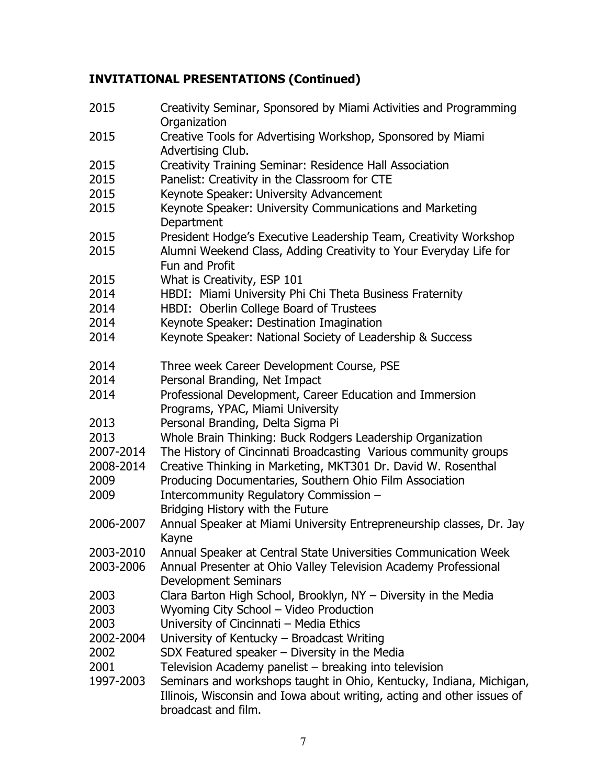# **INVITATIONAL PRESENTATIONS (Continued)**

| 2015      | Creativity Seminar, Sponsored by Miami Activities and Programming<br>Organization                                                             |
|-----------|-----------------------------------------------------------------------------------------------------------------------------------------------|
| 2015      | Creative Tools for Advertising Workshop, Sponsored by Miami                                                                                   |
|           | Advertising Club.                                                                                                                             |
| 2015      | Creativity Training Seminar: Residence Hall Association                                                                                       |
| 2015      | Panelist: Creativity in the Classroom for CTE                                                                                                 |
| 2015      | Keynote Speaker: University Advancement                                                                                                       |
| 2015      | Keynote Speaker: University Communications and Marketing<br>Department                                                                        |
| 2015      | President Hodge's Executive Leadership Team, Creativity Workshop                                                                              |
| 2015      | Alumni Weekend Class, Adding Creativity to Your Everyday Life for<br>Fun and Profit                                                           |
| 2015      | What is Creativity, ESP 101                                                                                                                   |
| 2014      | HBDI: Miami University Phi Chi Theta Business Fraternity                                                                                      |
| 2014      | HBDI: Oberlin College Board of Trustees                                                                                                       |
| 2014      | Keynote Speaker: Destination Imagination                                                                                                      |
| 2014      | Keynote Speaker: National Society of Leadership & Success                                                                                     |
| 2014      | Three week Career Development Course, PSE                                                                                                     |
| 2014      | Personal Branding, Net Impact                                                                                                                 |
| 2014      | Professional Development, Career Education and Immersion<br>Programs, YPAC, Miami University                                                  |
| 2013      | Personal Branding, Delta Sigma Pi                                                                                                             |
| 2013      | Whole Brain Thinking: Buck Rodgers Leadership Organization                                                                                    |
| 2007-2014 | The History of Cincinnati Broadcasting Various community groups                                                                               |
| 2008-2014 | Creative Thinking in Marketing, MKT301 Dr. David W. Rosenthal                                                                                 |
| 2009      | Producing Documentaries, Southern Ohio Film Association                                                                                       |
| 2009      | Intercommunity Regulatory Commission -                                                                                                        |
|           | Bridging History with the Future                                                                                                              |
| 2006-2007 | Annual Speaker at Miami University Entrepreneurship classes, Dr. Jay<br>Kayne                                                                 |
| 2003-2010 | Annual Speaker at Central State Universities Communication Week                                                                               |
| 2003-2006 | Annual Presenter at Ohio Valley Television Academy Professional<br><b>Development Seminars</b>                                                |
| 2003      | Clara Barton High School, Brooklyn, NY - Diversity in the Media                                                                               |
| 2003      | Wyoming City School - Video Production                                                                                                        |
| 2003      | University of Cincinnati - Media Ethics                                                                                                       |
| 2002-2004 | University of Kentucky - Broadcast Writing                                                                                                    |
| 2002      | SDX Featured speaker - Diversity in the Media                                                                                                 |
| 2001      | Television Academy panelist - breaking into television                                                                                        |
| 1997-2003 | Seminars and workshops taught in Ohio, Kentucky, Indiana, Michigan,<br>Illinois, Wisconsin and Iowa about writing, acting and other issues of |
|           | broadcast and film.                                                                                                                           |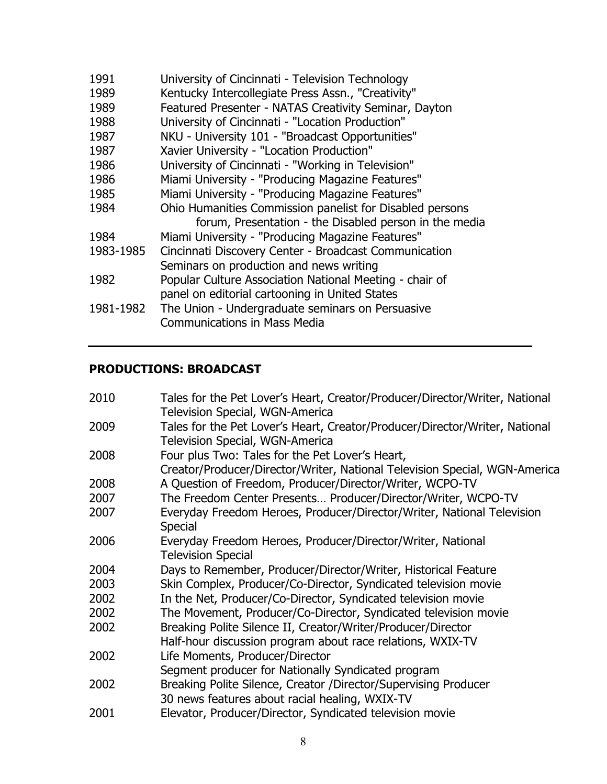| 1991      | University of Cincinnati - Television Technology         |
|-----------|----------------------------------------------------------|
| 1989      | Kentucky Intercollegiate Press Assn., "Creativity"       |
| 1989      | Featured Presenter - NATAS Creativity Seminar, Dayton    |
| 1988      | University of Cincinnati - "Location Production"         |
| 1987      | NKU - University 101 - "Broadcast Opportunities"         |
| 1987      | Xavier University - "Location Production"                |
| 1986      | University of Cincinnati - "Working in Television"       |
| 1986      | Miami University - "Producing Magazine Features"         |
| 1985      | Miami University - "Producing Magazine Features"         |
| 1984      | Ohio Humanities Commission panelist for Disabled persons |
|           | forum, Presentation - the Disabled person in the media   |
| 1984      | Miami University - "Producing Magazine Features"         |
| 1983-1985 | Cincinnati Discovery Center - Broadcast Communication    |
|           | Seminars on production and news writing                  |
| 1982      | Popular Culture Association National Meeting - chair of  |
|           | panel on editorial cartooning in United States           |
| 1981-1982 | The Union - Undergraduate seminars on Persuasive         |
|           | <b>Communications in Mass Media</b>                      |
|           |                                                          |

## **PRODUCTIONS: BROADCAST**

| 2010 | Tales for the Pet Lover's Heart, Creator/Producer/Director/Writer, National |
|------|-----------------------------------------------------------------------------|
|      | <b>Television Special, WGN-America</b>                                      |
| 2009 | Tales for the Pet Lover's Heart, Creator/Producer/Director/Writer, National |
|      | <b>Television Special, WGN-America</b>                                      |
| 2008 | Four plus Two: Tales for the Pet Lover's Heart,                             |
|      | Creator/Producer/Director/Writer, National Television Special, WGN-America  |
| 2008 | A Question of Freedom, Producer/Director/Writer, WCPO-TV                    |
| 2007 | The Freedom Center Presents Producer/Director/Writer, WCPO-TV               |
| 2007 | Everyday Freedom Heroes, Producer/Director/Writer, National Television      |
|      | <b>Special</b>                                                              |
| 2006 | Everyday Freedom Heroes, Producer/Director/Writer, National                 |
|      | <b>Television Special</b>                                                   |
| 2004 | Days to Remember, Producer/Director/Writer, Historical Feature              |
| 2003 | Skin Complex, Producer/Co-Director, Syndicated television movie             |
| 2002 | In the Net, Producer/Co-Director, Syndicated television movie               |
| 2002 | The Movement, Producer/Co-Director, Syndicated television movie             |
| 2002 | Breaking Polite Silence II, Creator/Writer/Producer/Director                |
|      | Half-hour discussion program about race relations, WXIX-TV                  |
| 2002 | Life Moments, Producer/Director                                             |
|      | Segment producer for Nationally Syndicated program                          |
| 2002 | Breaking Polite Silence, Creator /Director/Supervising Producer             |
|      | 30 news features about racial healing, WXIX-TV                              |
| 2001 | Elevator, Producer/Director, Syndicated television movie                    |
|      |                                                                             |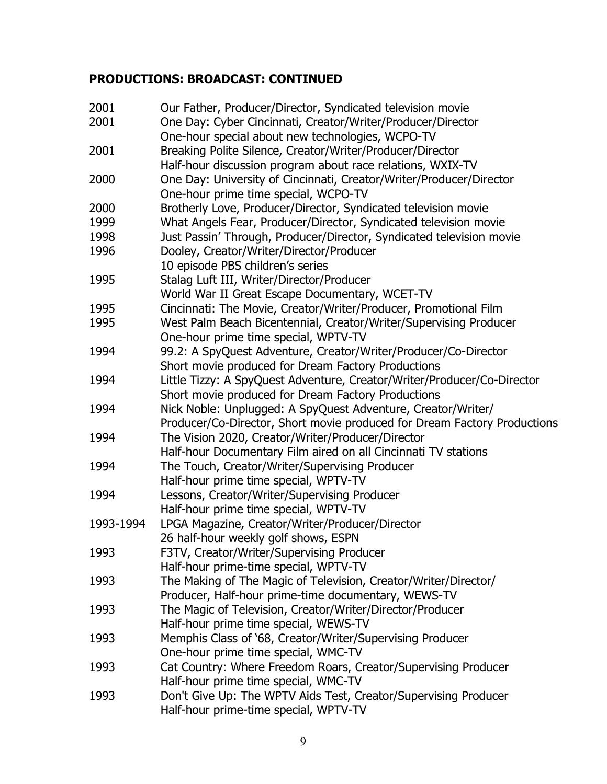| 2001      | Our Father, Producer/Director, Syndicated television movie               |
|-----------|--------------------------------------------------------------------------|
| 2001      | One Day: Cyber Cincinnati, Creator/Writer/Producer/Director              |
|           | One-hour special about new technologies, WCPO-TV                         |
| 2001      | Breaking Polite Silence, Creator/Writer/Producer/Director                |
|           | Half-hour discussion program about race relations, WXIX-TV               |
| 2000      | One Day: University of Cincinnati, Creator/Writer/Producer/Director      |
|           | One-hour prime time special, WCPO-TV                                     |
| 2000      | Brotherly Love, Producer/Director, Syndicated television movie           |
| 1999      | What Angels Fear, Producer/Director, Syndicated television movie         |
| 1998      | Just Passin' Through, Producer/Director, Syndicated television movie     |
| 1996      | Dooley, Creator/Writer/Director/Producer                                 |
|           | 10 episode PBS children's series                                         |
| 1995      | Stalag Luft III, Writer/Director/Producer                                |
|           | World War II Great Escape Documentary, WCET-TV                           |
| 1995      | Cincinnati: The Movie, Creator/Writer/Producer, Promotional Film         |
| 1995      | West Palm Beach Bicentennial, Creator/Writer/Supervising Producer        |
|           | One-hour prime time special, WPTV-TV                                     |
| 1994      | 99.2: A SpyQuest Adventure, Creator/Writer/Producer/Co-Director          |
|           | Short movie produced for Dream Factory Productions                       |
| 1994      | Little Tizzy: A SpyQuest Adventure, Creator/Writer/Producer/Co-Director  |
|           | Short movie produced for Dream Factory Productions                       |
| 1994      | Nick Noble: Unplugged: A SpyQuest Adventure, Creator/Writer/             |
|           | Producer/Co-Director, Short movie produced for Dream Factory Productions |
| 1994      | The Vision 2020, Creator/Writer/Producer/Director                        |
|           | Half-hour Documentary Film aired on all Cincinnati TV stations           |
| 1994      | The Touch, Creator/Writer/Supervising Producer                           |
|           | Half-hour prime time special, WPTV-TV                                    |
| 1994      | Lessons, Creator/Writer/Supervising Producer                             |
|           | Half-hour prime time special, WPTV-TV                                    |
| 1993-1994 | LPGA Magazine, Creator/Writer/Producer/Director                          |
|           | 26 half-hour weekly golf shows, ESPN                                     |
| 1993      | F3TV, Creator/Writer/Supervising Producer                                |
|           | Half-hour prime-time special, WPTV-TV                                    |
| 1993      | The Making of The Magic of Television, Creator/Writer/Director/          |
|           | Producer, Half-hour prime-time documentary, WEWS-TV                      |
| 1993      | The Magic of Television, Creator/Writer/Director/Producer                |
|           | Half-hour prime time special, WEWS-TV                                    |
| 1993      | Memphis Class of '68, Creator/Writer/Supervising Producer                |
|           | One-hour prime time special, WMC-TV                                      |
| 1993      | Cat Country: Where Freedom Roars, Creator/Supervising Producer           |
|           | Half-hour prime time special, WMC-TV                                     |
| 1993      | Don't Give Up: The WPTV Aids Test, Creator/Supervising Producer          |
|           | Half-hour prime-time special, WPTV-TV                                    |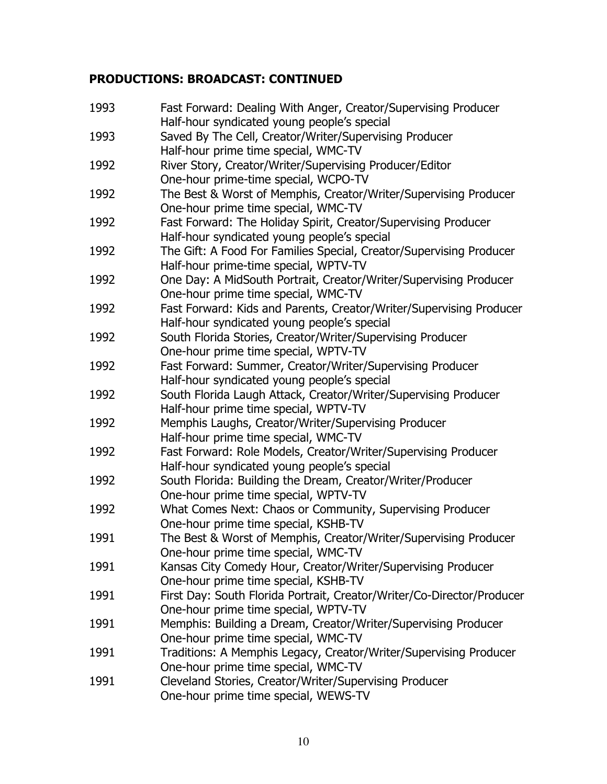| 1993 | Fast Forward: Dealing With Anger, Creator/Supervising Producer<br>Half-hour syndicated young people's special |
|------|---------------------------------------------------------------------------------------------------------------|
| 1993 | Saved By The Cell, Creator/Writer/Supervising Producer                                                        |
|      | Half-hour prime time special, WMC-TV                                                                          |
| 1992 | River Story, Creator/Writer/Supervising Producer/Editor                                                       |
|      | One-hour prime-time special, WCPO-TV                                                                          |
| 1992 | The Best & Worst of Memphis, Creator/Writer/Supervising Producer                                              |
|      | One-hour prime time special, WMC-TV                                                                           |
| 1992 | Fast Forward: The Holiday Spirit, Creator/Supervising Producer                                                |
|      | Half-hour syndicated young people's special                                                                   |
| 1992 | The Gift: A Food For Families Special, Creator/Supervising Producer                                           |
|      | Half-hour prime-time special, WPTV-TV                                                                         |
| 1992 | One Day: A MidSouth Portrait, Creator/Writer/Supervising Producer                                             |
|      | One-hour prime time special, WMC-TV                                                                           |
| 1992 | Fast Forward: Kids and Parents, Creator/Writer/Supervising Producer                                           |
|      | Half-hour syndicated young people's special                                                                   |
| 1992 | South Florida Stories, Creator/Writer/Supervising Producer                                                    |
|      | One-hour prime time special, WPTV-TV                                                                          |
| 1992 | Fast Forward: Summer, Creator/Writer/Supervising Producer                                                     |
|      | Half-hour syndicated young people's special                                                                   |
| 1992 |                                                                                                               |
|      | South Florida Laugh Attack, Creator/Writer/Supervising Producer                                               |
| 1992 | Half-hour prime time special, WPTV-TV<br>Memphis Laughs, Creator/Writer/Supervising Producer                  |
|      |                                                                                                               |
| 1992 | Half-hour prime time special, WMC-TV<br>Fast Forward: Role Models, Creator/Writer/Supervising Producer        |
|      | Half-hour syndicated young people's special                                                                   |
| 1992 |                                                                                                               |
|      | South Florida: Building the Dream, Creator/Writer/Producer                                                    |
| 1992 | One-hour prime time special, WPTV-TV<br>What Comes Next: Chaos or Community, Supervising Producer             |
|      | One-hour prime time special, KSHB-TV                                                                          |
| 1991 | The Best & Worst of Memphis, Creator/Writer/Supervising Producer                                              |
|      |                                                                                                               |
| 1991 | One-hour prime time special, WMC-TV                                                                           |
|      | Kansas City Comedy Hour, Creator/Writer/Supervising Producer<br>One-hour prime time special, KSHB-TV          |
| 1991 |                                                                                                               |
|      | First Day: South Florida Portrait, Creator/Writer/Co-Director/Producer                                        |
|      | One-hour prime time special, WPTV-TV                                                                          |
| 1991 | Memphis: Building a Dream, Creator/Writer/Supervising Producer                                                |
|      | One-hour prime time special, WMC-TV                                                                           |
| 1991 | Traditions: A Memphis Legacy, Creator/Writer/Supervising Producer                                             |
|      | One-hour prime time special, WMC-TV                                                                           |
| 1991 | Cleveland Stories, Creator/Writer/Supervising Producer                                                        |
|      | One-hour prime time special, WEWS-TV                                                                          |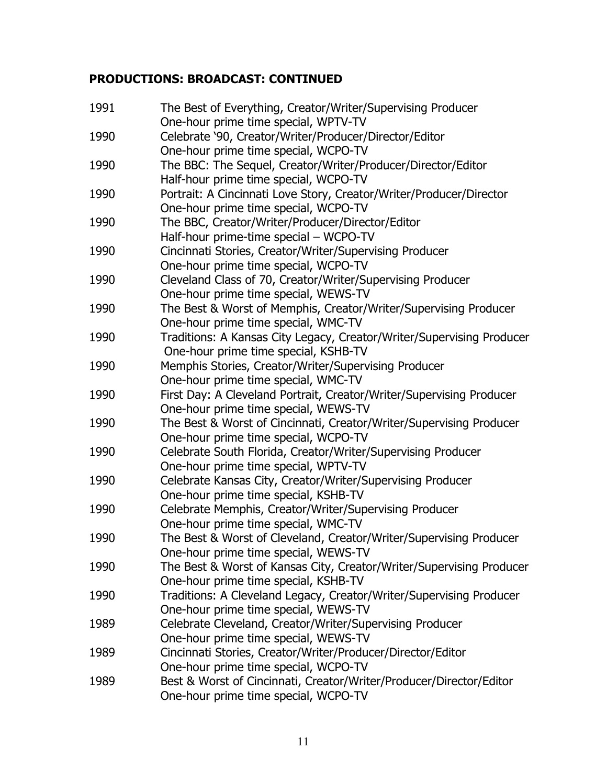| 1991 | The Best of Everything, Creator/Writer/Supervising Producer<br>One-hour prime time special, WPTV-TV |
|------|-----------------------------------------------------------------------------------------------------|
| 1990 | Celebrate '90, Creator/Writer/Producer/Director/Editor                                              |
|      | One-hour prime time special, WCPO-TV                                                                |
| 1990 | The BBC: The Sequel, Creator/Writer/Producer/Director/Editor                                        |
|      | Half-hour prime time special, WCPO-TV                                                               |
| 1990 | Portrait: A Cincinnati Love Story, Creator/Writer/Producer/Director                                 |
|      | One-hour prime time special, WCPO-TV                                                                |
| 1990 | The BBC, Creator/Writer/Producer/Director/Editor                                                    |
|      | Half-hour prime-time special - WCPO-TV                                                              |
| 1990 | Cincinnati Stories, Creator/Writer/Supervising Producer                                             |
|      | One-hour prime time special, WCPO-TV                                                                |
| 1990 | Cleveland Class of 70, Creator/Writer/Supervising Producer                                          |
|      | One-hour prime time special, WEWS-TV                                                                |
| 1990 | The Best & Worst of Memphis, Creator/Writer/Supervising Producer                                    |
|      | One-hour prime time special, WMC-TV                                                                 |
| 1990 | Traditions: A Kansas City Legacy, Creator/Writer/Supervising Producer                               |
|      | One-hour prime time special, KSHB-TV                                                                |
| 1990 | Memphis Stories, Creator/Writer/Supervising Producer                                                |
|      | One-hour prime time special, WMC-TV                                                                 |
| 1990 | First Day: A Cleveland Portrait, Creator/Writer/Supervising Producer                                |
|      | One-hour prime time special, WEWS-TV                                                                |
| 1990 | The Best & Worst of Cincinnati, Creator/Writer/Supervising Producer                                 |
|      | One-hour prime time special, WCPO-TV                                                                |
| 1990 | Celebrate South Florida, Creator/Writer/Supervising Producer                                        |
|      | One-hour prime time special, WPTV-TV                                                                |
| 1990 | Celebrate Kansas City, Creator/Writer/Supervising Producer                                          |
|      | One-hour prime time special, KSHB-TV                                                                |
| 1990 | Celebrate Memphis, Creator/Writer/Supervising Producer                                              |
|      | One-hour prime time special, WMC-TV                                                                 |
| 1990 | The Best & Worst of Cleveland, Creator/Writer/Supervising Producer                                  |
|      | One-hour prime time special, WEWS-TV                                                                |
| 1990 | The Best & Worst of Kansas City, Creator/Writer/Supervising Producer                                |
|      | One-hour prime time special, KSHB-TV                                                                |
| 1990 | Traditions: A Cleveland Legacy, Creator/Writer/Supervising Producer                                 |
|      | One-hour prime time special, WEWS-TV                                                                |
| 1989 | Celebrate Cleveland, Creator/Writer/Supervising Producer                                            |
|      | One-hour prime time special, WEWS-TV                                                                |
| 1989 | Cincinnati Stories, Creator/Writer/Producer/Director/Editor                                         |
|      | One-hour prime time special, WCPO-TV                                                                |
| 1989 | Best & Worst of Cincinnati, Creator/Writer/Producer/Director/Editor                                 |
|      | One-hour prime time special, WCPO-TV                                                                |
|      |                                                                                                     |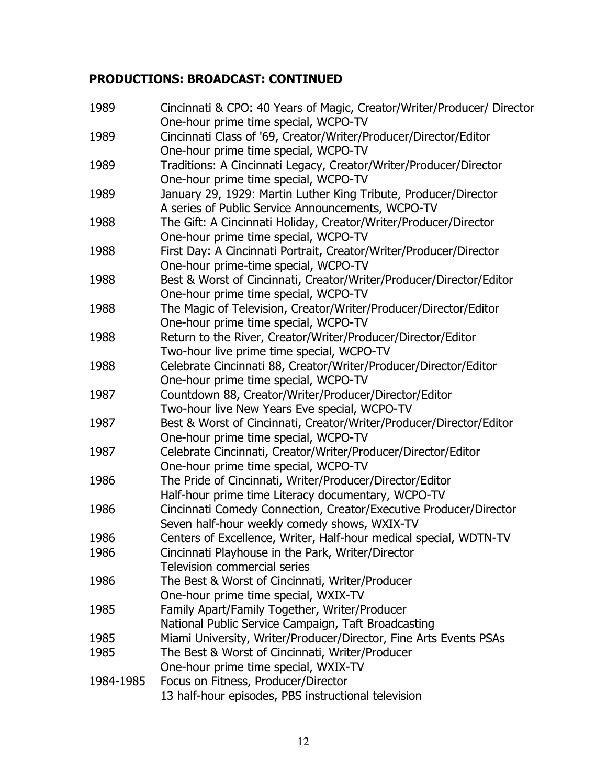| 1989      | Cincinnati & CPO: 40 Years of Magic, Creator/Writer/Producer/ Director<br>One-hour prime time special, WCPO-TV |
|-----------|----------------------------------------------------------------------------------------------------------------|
| 1989      | Cincinnati Class of '69, Creator/Writer/Producer/Director/Editor                                               |
|           | One-hour prime time special, WCPO-TV                                                                           |
| 1989      | Traditions: A Cincinnati Legacy, Creator/Writer/Producer/Director                                              |
|           | One-hour prime time special, WCPO-TV                                                                           |
| 1989      | January 29, 1929: Martin Luther King Tribute, Producer/Director                                                |
|           | A series of Public Service Announcements, WCPO-TV                                                              |
| 1988      | The Gift: A Cincinnati Holiday, Creator/Writer/Producer/Director                                               |
|           | One-hour prime time special, WCPO-TV                                                                           |
| 1988      | First Day: A Cincinnati Portrait, Creator/Writer/Producer/Director                                             |
|           | One-hour prime-time special, WCPO-TV                                                                           |
| 1988      | Best & Worst of Cincinnati, Creator/Writer/Producer/Director/Editor                                            |
|           | One-hour prime time special, WCPO-TV                                                                           |
| 1988      | The Magic of Television, Creator/Writer/Producer/Director/Editor                                               |
|           | One-hour prime time special, WCPO-TV                                                                           |
| 1988      | Return to the River, Creator/Writer/Producer/Director/Editor                                                   |
|           | Two-hour live prime time special, WCPO-TV                                                                      |
| 1988      | Celebrate Cincinnati 88, Creator/Writer/Producer/Director/Editor                                               |
|           | One-hour prime time special, WCPO-TV                                                                           |
| 1987      | Countdown 88, Creator/Writer/Producer/Director/Editor                                                          |
|           | Two-hour live New Years Eve special, WCPO-TV                                                                   |
| 1987      | Best & Worst of Cincinnati, Creator/Writer/Producer/Director/Editor                                            |
|           | One-hour prime time special, WCPO-TV                                                                           |
| 1987      | Celebrate Cincinnati, Creator/Writer/Producer/Director/Editor                                                  |
|           | One-hour prime time special, WCPO-TV                                                                           |
| 1986      | The Pride of Cincinnati, Writer/Producer/Director/Editor                                                       |
|           | Half-hour prime time Literacy documentary, WCPO-TV                                                             |
| 1986      | Cincinnati Comedy Connection, Creator/Executive Producer/Director                                              |
|           | Seven half-hour weekly comedy shows, WXIX-TV                                                                   |
| 1986      | Centers of Excellence, Writer, Half-hour medical special, WDTN-TV                                              |
| 1986      | Cincinnati Playhouse in the Park, Writer/Director                                                              |
|           | <b>Television commercial series</b>                                                                            |
| 1986      | The Best & Worst of Cincinnati, Writer/Producer                                                                |
|           | One-hour prime time special, WXIX-TV                                                                           |
| 1985      | Family Apart/Family Together, Writer/Producer                                                                  |
|           | National Public Service Campaign, Taft Broadcasting                                                            |
| 1985      | Miami University, Writer/Producer/Director, Fine Arts Events PSAs                                              |
| 1985      | The Best & Worst of Cincinnati, Writer/Producer                                                                |
|           | One-hour prime time special, WXIX-TV                                                                           |
| 1984-1985 | Focus on Fitness, Producer/Director                                                                            |
|           | 13 half-hour episodes, PBS instructional television                                                            |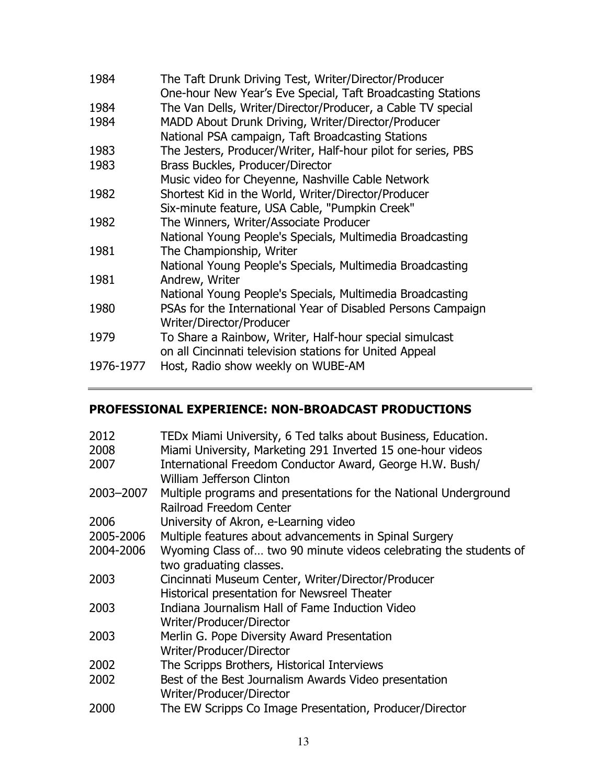| 1984      | The Taft Drunk Driving Test, Writer/Director/Producer<br>One-hour New Year's Eve Special, Taft Broadcasting Stations |
|-----------|----------------------------------------------------------------------------------------------------------------------|
| 1984      | The Van Dells, Writer/Director/Producer, a Cable TV special                                                          |
| 1984      | MADD About Drunk Driving, Writer/Director/Producer                                                                   |
|           | National PSA campaign, Taft Broadcasting Stations                                                                    |
| 1983      | The Jesters, Producer/Writer, Half-hour pilot for series, PBS                                                        |
| 1983      | Brass Buckles, Producer/Director                                                                                     |
|           | Music video for Cheyenne, Nashville Cable Network                                                                    |
| 1982      | Shortest Kid in the World, Writer/Director/Producer                                                                  |
|           | Six-minute feature, USA Cable, "Pumpkin Creek"                                                                       |
| 1982      | The Winners, Writer/Associate Producer                                                                               |
|           | National Young People's Specials, Multimedia Broadcasting                                                            |
| 1981      | The Championship, Writer                                                                                             |
|           | National Young People's Specials, Multimedia Broadcasting                                                            |
| 1981      | Andrew, Writer                                                                                                       |
|           | National Young People's Specials, Multimedia Broadcasting                                                            |
| 1980      | PSAs for the International Year of Disabled Persons Campaign                                                         |
|           | Writer/Director/Producer                                                                                             |
| 1979      | To Share a Rainbow, Writer, Half-hour special simulcast                                                              |
|           | on all Cincinnati television stations for United Appeal                                                              |
| 1976-1977 | Host, Radio show weekly on WUBE-AM                                                                                   |

## **PROFESSIONAL EXPERIENCE: NON-BROADCAST PRODUCTIONS**

| TEDx Miami University, 6 Ted talks about Business, Education.     |
|-------------------------------------------------------------------|
| Miami University, Marketing 291 Inverted 15 one-hour videos       |
| International Freedom Conductor Award, George H.W. Bush/          |
| William Jefferson Clinton                                         |
| Multiple programs and presentations for the National Underground  |
| Railroad Freedom Center                                           |
| University of Akron, e-Learning video                             |
| Multiple features about advancements in Spinal Surgery            |
| Wyoming Class of two 90 minute videos celebrating the students of |
| two graduating classes.                                           |
| Cincinnati Museum Center, Writer/Director/Producer                |
| Historical presentation for Newsreel Theater                      |
| Indiana Journalism Hall of Fame Induction Video                   |
| Writer/Producer/Director                                          |
| Merlin G. Pope Diversity Award Presentation                       |
| Writer/Producer/Director                                          |
| The Scripps Brothers, Historical Interviews                       |
| Best of the Best Journalism Awards Video presentation             |
| Writer/Producer/Director                                          |
| The EW Scripps Co Image Presentation, Producer/Director           |
|                                                                   |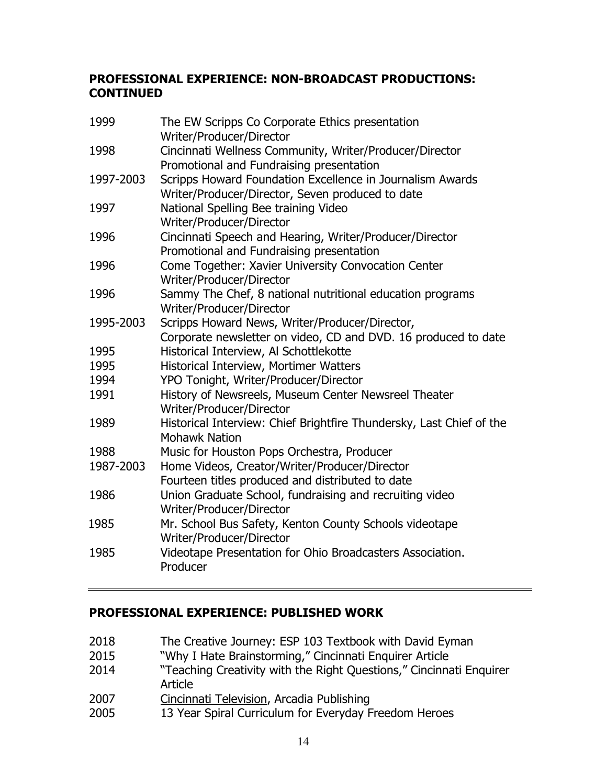#### **PROFESSIONAL EXPERIENCE: NON-BROADCAST PRODUCTIONS: CONTINUED**

| 1999      | The EW Scripps Co Corporate Ethics presentation<br>Writer/Producer/Director                                      |
|-----------|------------------------------------------------------------------------------------------------------------------|
| 1998      | Cincinnati Wellness Community, Writer/Producer/Director<br>Promotional and Fundraising presentation              |
| 1997-2003 | Scripps Howard Foundation Excellence in Journalism Awards<br>Writer/Producer/Director, Seven produced to date    |
| 1997      | National Spelling Bee training Video<br>Writer/Producer/Director                                                 |
| 1996      | Cincinnati Speech and Hearing, Writer/Producer/Director<br>Promotional and Fundraising presentation              |
| 1996      | Come Together: Xavier University Convocation Center<br>Writer/Producer/Director                                  |
| 1996      | Sammy The Chef, 8 national nutritional education programs<br>Writer/Producer/Director                            |
| 1995-2003 | Scripps Howard News, Writer/Producer/Director,<br>Corporate newsletter on video, CD and DVD. 16 produced to date |
| 1995      | Historical Interview, Al Schottlekotte                                                                           |
| 1995      | Historical Interview, Mortimer Watters                                                                           |
| 1994      | YPO Tonight, Writer/Producer/Director                                                                            |
| 1991      | History of Newsreels, Museum Center Newsreel Theater<br>Writer/Producer/Director                                 |
| 1989      | Historical Interview: Chief Brightfire Thundersky, Last Chief of the<br><b>Mohawk Nation</b>                     |
| 1988      | Music for Houston Pops Orchestra, Producer                                                                       |
| 1987-2003 | Home Videos, Creator/Writer/Producer/Director                                                                    |
|           | Fourteen titles produced and distributed to date                                                                 |
| 1986      | Union Graduate School, fundraising and recruiting video<br>Writer/Producer/Director                              |
| 1985      | Mr. School Bus Safety, Kenton County Schools videotape<br>Writer/Producer/Director                               |
| 1985      | Videotape Presentation for Ohio Broadcasters Association.<br>Producer                                            |

## **PROFESSIONAL EXPERIENCE: PUBLISHED WORK**

- 2018 The Creative Journey: ESP 103 Textbook with David Eyman
- 2015 "Why I Hate Brainstorming," Cincinnati Enquirer Article
- 2014 "Teaching Creativity with the Right Questions," Cincinnati Enquirer Article
- 2007 Cincinnati Television, Arcadia Publishing
- 2005 13 Year Spiral Curriculum for Everyday Freedom Heroes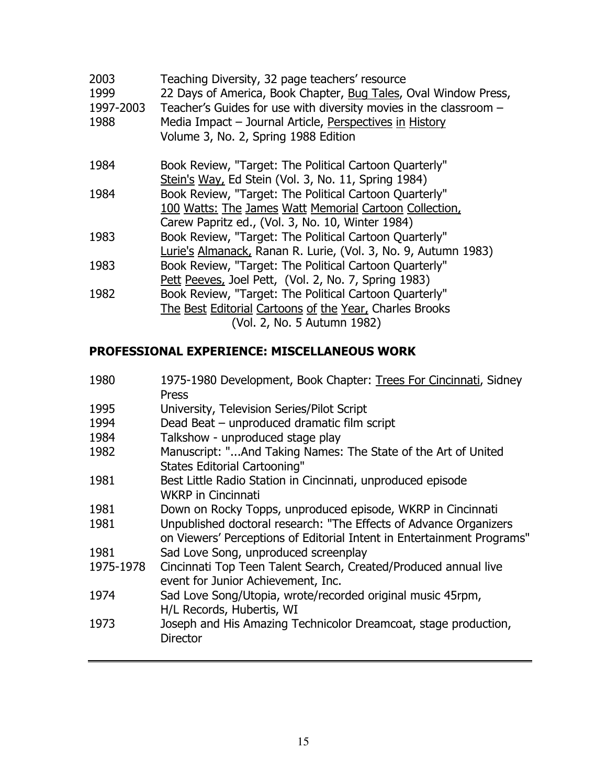| 2003<br>1999<br>1997-2003<br>1988 | Teaching Diversity, 32 page teachers' resource<br>22 Days of America, Book Chapter, Bug Tales, Oval Window Press,<br>Teacher's Guides for use with diversity movies in the classroom -<br>Media Impact - Journal Article, Perspectives in History<br>Volume 3, No. 2, Spring 1988 Edition |
|-----------------------------------|-------------------------------------------------------------------------------------------------------------------------------------------------------------------------------------------------------------------------------------------------------------------------------------------|
| 1984                              | Book Review, "Target: The Political Cartoon Quarterly"                                                                                                                                                                                                                                    |
|                                   | Stein's Way, Ed Stein (Vol. 3, No. 11, Spring 1984)                                                                                                                                                                                                                                       |
| 1984                              | Book Review, "Target: The Political Cartoon Quarterly"                                                                                                                                                                                                                                    |
|                                   | 100 Watts: The James Watt Memorial Cartoon Collection,                                                                                                                                                                                                                                    |
|                                   | Carew Papritz ed., (Vol. 3, No. 10, Winter 1984)                                                                                                                                                                                                                                          |
| 1983                              | Book Review, "Target: The Political Cartoon Quarterly"                                                                                                                                                                                                                                    |
|                                   | Lurie's Almanack, Ranan R. Lurie, (Vol. 3, No. 9, Autumn 1983)                                                                                                                                                                                                                            |
| 1983                              | Book Review, "Target: The Political Cartoon Quarterly"                                                                                                                                                                                                                                    |
|                                   | Pett Peeves, Joel Pett, (Vol. 2, No. 7, Spring 1983)                                                                                                                                                                                                                                      |
| 1982                              | Book Review, "Target: The Political Cartoon Quarterly"                                                                                                                                                                                                                                    |
|                                   | The Best Editorial Cartoons of the Year, Charles Brooks                                                                                                                                                                                                                                   |
|                                   | (Vol. 2, No. 5 Autumn 1982)                                                                                                                                                                                                                                                               |
|                                   |                                                                                                                                                                                                                                                                                           |

## **PROFESSIONAL EXPERIENCE: MISCELLANEOUS WORK**

| 1980      | 1975-1980 Development, Book Chapter: Trees For Cincinnati, Sidney<br>Press                                                                  |
|-----------|---------------------------------------------------------------------------------------------------------------------------------------------|
| 1995      | University, Television Series/Pilot Script                                                                                                  |
| 1994      | Dead Beat - unproduced dramatic film script                                                                                                 |
| 1984      | Talkshow - unproduced stage play                                                                                                            |
| 1982      | Manuscript: "And Taking Names: The State of the Art of United<br><b>States Editorial Cartooning"</b>                                        |
| 1981      | Best Little Radio Station in Cincinnati, unproduced episode<br><b>WKRP</b> in Cincinnati                                                    |
| 1981      | Down on Rocky Topps, unproduced episode, WKRP in Cincinnati                                                                                 |
| 1981      | Unpublished doctoral research: "The Effects of Advance Organizers<br>on Viewers' Perceptions of Editorial Intent in Entertainment Programs" |
| 1981      | Sad Love Song, unproduced screenplay                                                                                                        |
| 1975-1978 | Cincinnati Top Teen Talent Search, Created/Produced annual live<br>event for Junior Achievement, Inc.                                       |
| 1974      | Sad Love Song/Utopia, wrote/recorded original music 45rpm,<br>H/L Records, Hubertis, WI                                                     |
| 1973      | Joseph and His Amazing Technicolor Dreamcoat, stage production,<br><b>Director</b>                                                          |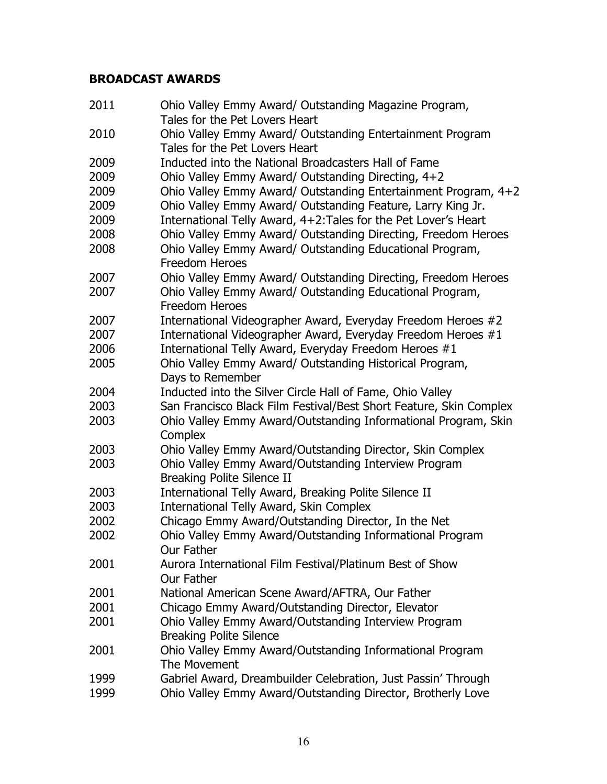## **BROADCAST AWARDS**

| 2011 | Ohio Valley Emmy Award/ Outstanding Magazine Program,<br>Tales for the Pet Lovers Heart   |
|------|-------------------------------------------------------------------------------------------|
| 2010 | Ohio Valley Emmy Award/ Outstanding Entertainment Program                                 |
|      | Tales for the Pet Lovers Heart                                                            |
| 2009 | Inducted into the National Broadcasters Hall of Fame                                      |
| 2009 | Ohio Valley Emmy Award/ Outstanding Directing, 4+2                                        |
| 2009 | Ohio Valley Emmy Award/ Outstanding Entertainment Program, 4+2                            |
| 2009 | Ohio Valley Emmy Award/ Outstanding Feature, Larry King Jr.                               |
| 2009 | International Telly Award, 4+2: Tales for the Pet Lover's Heart                           |
| 2008 | Ohio Valley Emmy Award/ Outstanding Directing, Freedom Heroes                             |
| 2008 | Ohio Valley Emmy Award/ Outstanding Educational Program,<br><b>Freedom Heroes</b>         |
| 2007 | Ohio Valley Emmy Award/ Outstanding Directing, Freedom Heroes                             |
| 2007 | Ohio Valley Emmy Award/ Outstanding Educational Program,<br><b>Freedom Heroes</b>         |
| 2007 | International Videographer Award, Everyday Freedom Heroes #2                              |
| 2007 | International Videographer Award, Everyday Freedom Heroes #1                              |
| 2006 | International Telly Award, Everyday Freedom Heroes #1                                     |
| 2005 | Ohio Valley Emmy Award/ Outstanding Historical Program,                                   |
|      | Days to Remember                                                                          |
| 2004 | Inducted into the Silver Circle Hall of Fame, Ohio Valley                                 |
| 2003 | San Francisco Black Film Festival/Best Short Feature, Skin Complex                        |
| 2003 | Ohio Valley Emmy Award/Outstanding Informational Program, Skin<br>Complex                 |
| 2003 | Ohio Valley Emmy Award/Outstanding Director, Skin Complex                                 |
| 2003 | Ohio Valley Emmy Award/Outstanding Interview Program<br><b>Breaking Polite Silence II</b> |
| 2003 | International Telly Award, Breaking Polite Silence II                                     |
| 2003 | <b>International Telly Award, Skin Complex</b>                                            |
| 2002 | Chicago Emmy Award/Outstanding Director, In the Net                                       |
| 2002 | Ohio Valley Emmy Award/Outstanding Informational Program<br>Our Father                    |
| 2001 | Aurora International Film Festival/Platinum Best of Show<br>Our Father                    |
| 2001 | National American Scene Award/AFTRA, Our Father                                           |
| 2001 | Chicago Emmy Award/Outstanding Director, Elevator                                         |
| 2001 | Ohio Valley Emmy Award/Outstanding Interview Program<br><b>Breaking Polite Silence</b>    |
| 2001 | Ohio Valley Emmy Award/Outstanding Informational Program<br>The Movement                  |
| 1999 | Gabriel Award, Dreambuilder Celebration, Just Passin' Through                             |
| 1999 | Ohio Valley Emmy Award/Outstanding Director, Brotherly Love                               |
|      |                                                                                           |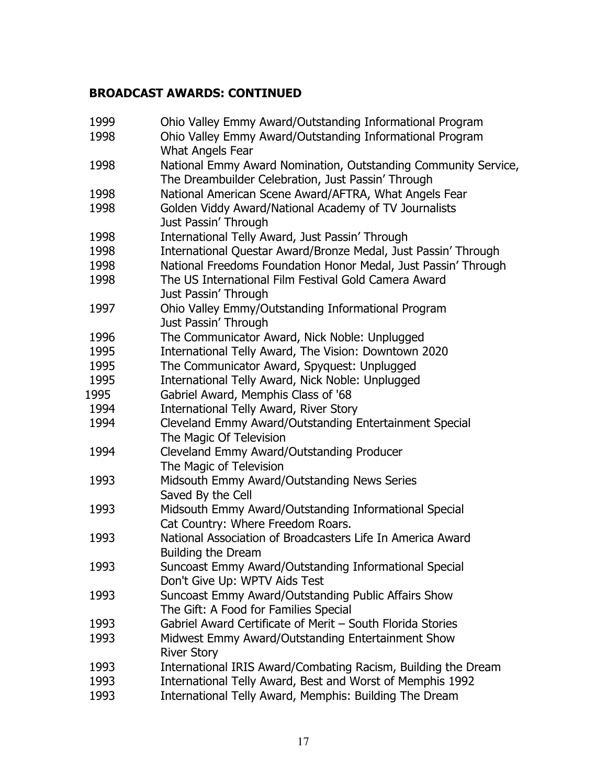#### **BROADCAST AWARDS: CONTINUED**

| 1999 | Ohio Valley Emmy Award/Outstanding Informational Program       |
|------|----------------------------------------------------------------|
| 1998 | Ohio Valley Emmy Award/Outstanding Informational Program       |
|      | <b>What Angels Fear</b>                                        |
| 1998 | National Emmy Award Nomination, Outstanding Community Service, |
|      | The Dreambuilder Celebration, Just Passin' Through             |
| 1998 | National American Scene Award/AFTRA, What Angels Fear          |
| 1998 | Golden Viddy Award/National Academy of TV Journalists          |
|      | Just Passin' Through                                           |
| 1998 | International Telly Award, Just Passin' Through                |
| 1998 | International Questar Award/Bronze Medal, Just Passin' Through |
| 1998 | National Freedoms Foundation Honor Medal, Just Passin' Through |
| 1998 | The US International Film Festival Gold Camera Award           |
|      | Just Passin' Through                                           |
| 1997 | Ohio Valley Emmy/Outstanding Informational Program             |
|      | Just Passin' Through                                           |
| 1996 | The Communicator Award, Nick Noble: Unplugged                  |
| 1995 | International Telly Award, The Vision: Downtown 2020           |
| 1995 | The Communicator Award, Spyquest: Unplugged                    |
| 1995 | International Telly Award, Nick Noble: Unplugged               |
| 1995 | Gabriel Award, Memphis Class of '68                            |
| 1994 | International Telly Award, River Story                         |
| 1994 | Cleveland Emmy Award/Outstanding Entertainment Special         |
|      | The Magic Of Television                                        |
| 1994 | Cleveland Emmy Award/Outstanding Producer                      |
|      | The Magic of Television                                        |
| 1993 | Midsouth Emmy Award/Outstanding News Series                    |
|      | Saved By the Cell                                              |
| 1993 | Midsouth Emmy Award/Outstanding Informational Special          |
|      | Cat Country: Where Freedom Roars.                              |
| 1993 | National Association of Broadcasters Life In America Award     |
|      | <b>Building the Dream</b>                                      |
| 1993 | Suncoast Emmy Award/Outstanding Informational Special          |
|      | Don't Give Up: WPTV Aids Test                                  |
| 1993 | Suncoast Emmy Award/Outstanding Public Affairs Show            |
|      | The Gift: A Food for Families Special                          |
| 1993 | Gabriel Award Certificate of Merit - South Florida Stories     |
| 1993 | Midwest Emmy Award/Outstanding Entertainment Show              |
|      | <b>River Story</b>                                             |
| 1993 | International IRIS Award/Combating Racism, Building the Dream  |
| 1993 | International Telly Award, Best and Worst of Memphis 1992      |
| 1993 | International Telly Award, Memphis: Building The Dream         |
|      |                                                                |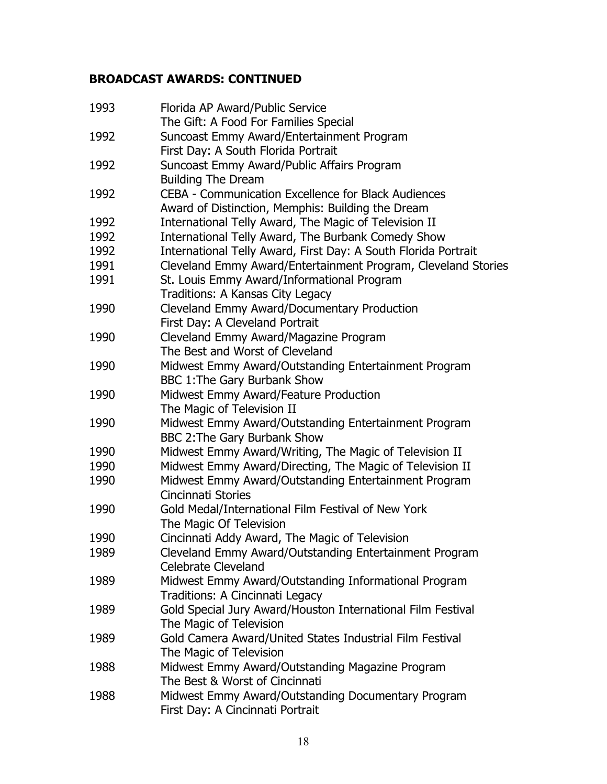## **BROADCAST AWARDS: CONTINUED**

| 1993 | Florida AP Award/Public Service                                |
|------|----------------------------------------------------------------|
|      | The Gift: A Food For Families Special                          |
| 1992 | Suncoast Emmy Award/Entertainment Program                      |
|      | First Day: A South Florida Portrait                            |
| 1992 | Suncoast Emmy Award/Public Affairs Program                     |
|      | <b>Building The Dream</b>                                      |
| 1992 | CEBA - Communication Excellence for Black Audiences            |
|      | Award of Distinction, Memphis: Building the Dream              |
| 1992 | International Telly Award, The Magic of Television II          |
| 1992 | International Telly Award, The Burbank Comedy Show             |
| 1992 | International Telly Award, First Day: A South Florida Portrait |
| 1991 | Cleveland Emmy Award/Entertainment Program, Cleveland Stories  |
| 1991 | St. Louis Emmy Award/Informational Program                     |
|      | Traditions: A Kansas City Legacy                               |
| 1990 | Cleveland Emmy Award/Documentary Production                    |
|      | First Day: A Cleveland Portrait                                |
| 1990 | Cleveland Emmy Award/Magazine Program                          |
|      | The Best and Worst of Cleveland                                |
| 1990 | Midwest Emmy Award/Outstanding Entertainment Program           |
|      | BBC 1: The Gary Burbank Show                                   |
| 1990 | Midwest Emmy Award/Feature Production                          |
|      | The Magic of Television II                                     |
| 1990 | Midwest Emmy Award/Outstanding Entertainment Program           |
|      | BBC 2: The Gary Burbank Show                                   |
| 1990 | Midwest Emmy Award/Writing, The Magic of Television II         |
| 1990 | Midwest Emmy Award/Directing, The Magic of Television II       |
| 1990 | Midwest Emmy Award/Outstanding Entertainment Program           |
|      | <b>Cincinnati Stories</b>                                      |
| 1990 | Gold Medal/International Film Festival of New York             |
|      | The Magic Of Television                                        |
| 1990 | Cincinnati Addy Award, The Magic of Television                 |
| 1989 | Cleveland Emmy Award/Outstanding Entertainment Program         |
|      | <b>Celebrate Cleveland</b>                                     |
| 1989 | Midwest Emmy Award/Outstanding Informational Program           |
|      | Traditions: A Cincinnati Legacy                                |
| 1989 | Gold Special Jury Award/Houston International Film Festival    |
|      | The Magic of Television                                        |
| 1989 | Gold Camera Award/United States Industrial Film Festival       |
|      | The Magic of Television                                        |
| 1988 | Midwest Emmy Award/Outstanding Magazine Program                |
|      | The Best & Worst of Cincinnati                                 |
| 1988 | Midwest Emmy Award/Outstanding Documentary Program             |
|      | First Day: A Cincinnati Portrait                               |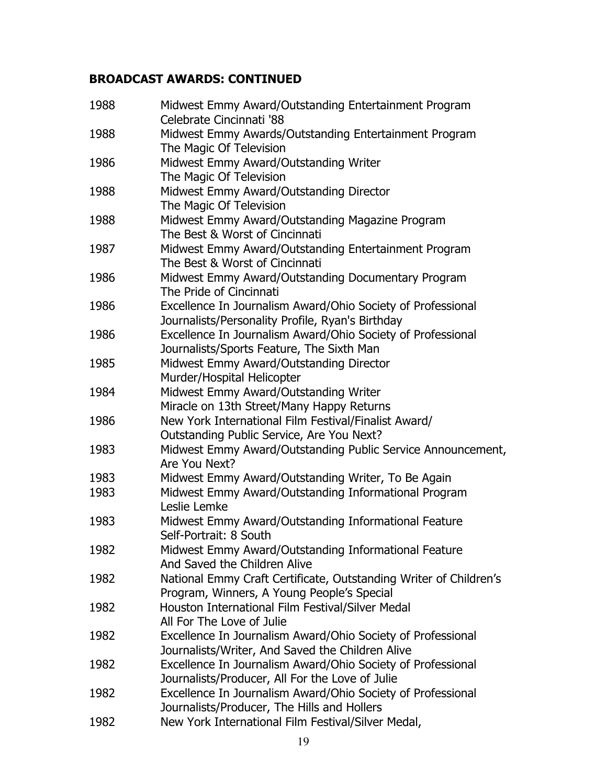## **BROADCAST AWARDS: CONTINUED**

| 1988 | Midwest Emmy Award/Outstanding Entertainment Program<br>Celebrate Cincinnati '88 |
|------|----------------------------------------------------------------------------------|
| 1988 | Midwest Emmy Awards/Outstanding Entertainment Program                            |
| 1986 | The Magic Of Television<br>Midwest Emmy Award/Outstanding Writer                 |
|      | The Magic Of Television                                                          |
| 1988 | Midwest Emmy Award/Outstanding Director                                          |
|      | The Magic Of Television                                                          |
| 1988 | Midwest Emmy Award/Outstanding Magazine Program                                  |
|      | The Best & Worst of Cincinnati                                                   |
| 1987 | Midwest Emmy Award/Outstanding Entertainment Program                             |
|      | The Best & Worst of Cincinnati                                                   |
| 1986 | Midwest Emmy Award/Outstanding Documentary Program                               |
|      | The Pride of Cincinnati                                                          |
| 1986 | Excellence In Journalism Award/Ohio Society of Professional                      |
|      | Journalists/Personality Profile, Ryan's Birthday                                 |
| 1986 | Excellence In Journalism Award/Ohio Society of Professional                      |
|      | Journalists/Sports Feature, The Sixth Man                                        |
| 1985 | Midwest Emmy Award/Outstanding Director                                          |
|      | Murder/Hospital Helicopter                                                       |
| 1984 | Midwest Emmy Award/Outstanding Writer                                            |
|      | Miracle on 13th Street/Many Happy Returns                                        |
| 1986 | New York International Film Festival/Finalist Award/                             |
|      | Outstanding Public Service, Are You Next?                                        |
| 1983 | Midwest Emmy Award/Outstanding Public Service Announcement,<br>Are You Next?     |
| 1983 | Midwest Emmy Award/Outstanding Writer, To Be Again                               |
| 1983 | Midwest Emmy Award/Outstanding Informational Program                             |
|      | Leslie Lemke                                                                     |
| 1983 | Midwest Emmy Award/Outstanding Informational Feature                             |
|      | Self-Portrait: 8 South                                                           |
| 1982 | Midwest Emmy Award/Outstanding Informational Feature                             |
|      | And Saved the Children Alive                                                     |
| 1982 | National Emmy Craft Certificate, Outstanding Writer of Children's                |
|      | Program, Winners, A Young People's Special                                       |
| 1982 | Houston International Film Festival/Silver Medal                                 |
|      | All For The Love of Julie                                                        |
| 1982 | Excellence In Journalism Award/Ohio Society of Professional                      |
|      | Journalists/Writer, And Saved the Children Alive                                 |
| 1982 | Excellence In Journalism Award/Ohio Society of Professional                      |
|      | Journalists/Producer, All For the Love of Julie                                  |
| 1982 | Excellence In Journalism Award/Ohio Society of Professional                      |
|      | Journalists/Producer, The Hills and Hollers                                      |
| 1982 | New York International Film Festival/Silver Medal,                               |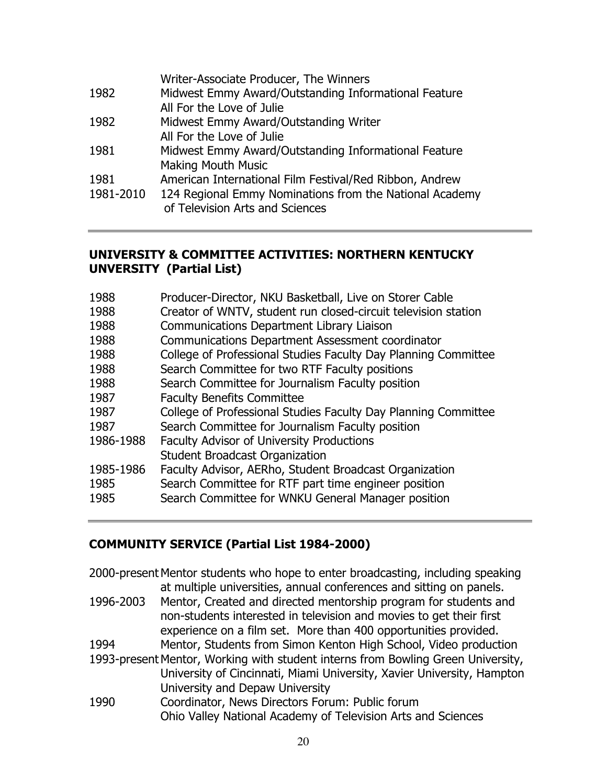|           | Writer-Associate Producer, The Winners                  |
|-----------|---------------------------------------------------------|
| 1982      | Midwest Emmy Award/Outstanding Informational Feature    |
|           | All For the Love of Julie                               |
| 1982      | Midwest Emmy Award/Outstanding Writer                   |
|           | All For the Love of Julie                               |
| 1981      | Midwest Emmy Award/Outstanding Informational Feature    |
|           | <b>Making Mouth Music</b>                               |
| 1981      | American International Film Festival/Red Ribbon, Andrew |
| 1981-2010 | 124 Regional Emmy Nominations from the National Academy |
|           | of Television Arts and Sciences                         |
|           |                                                         |

#### **UNIVERSITY & COMMITTEE ACTIVITIES: NORTHERN KENTUCKY UNVERSITY (Partial List)**

| 1988      | Producer-Director, NKU Basketball, Live on Storer Cable        |
|-----------|----------------------------------------------------------------|
| 1988      | Creator of WNTV, student run closed-circuit television station |
| 1988      | <b>Communications Department Library Liaison</b>               |
| 1988      | <b>Communications Department Assessment coordinator</b>        |
| 1988      | College of Professional Studies Faculty Day Planning Committee |
| 1988      | Search Committee for two RTF Faculty positions                 |
| 1988      | Search Committee for Journalism Faculty position               |
| 1987      | <b>Faculty Benefits Committee</b>                              |
| 1987      | College of Professional Studies Faculty Day Planning Committee |
| 1987      | Search Committee for Journalism Faculty position               |
| 1986-1988 | <b>Faculty Advisor of University Productions</b>               |
|           | <b>Student Broadcast Organization</b>                          |
| 1985-1986 | Faculty Advisor, AERho, Student Broadcast Organization         |
| 1985      | Search Committee for RTF part time engineer position           |
| 1985      | Search Committee for WNKU General Manager position             |
|           |                                                                |

#### **COMMUNITY SERVICE (Partial List 1984-2000)**

2000-present Mentor students who hope to enter broadcasting, including speaking at multiple universities, annual conferences and sitting on panels. 1996-2003 Mentor, Created and directed mentorship program for students and non-students interested in television and movies to get their first experience on a film set. More than 400 opportunities provided. 1994 Mentor, Students from Simon Kenton High School, Video production 1993-present Mentor, Working with student interns from Bowling Green University, University of Cincinnati, Miami University, Xavier University, Hampton University and Depaw University 1990 Coordinator, News Directors Forum: Public forum Ohio Valley National Academy of Television Arts and Sciences